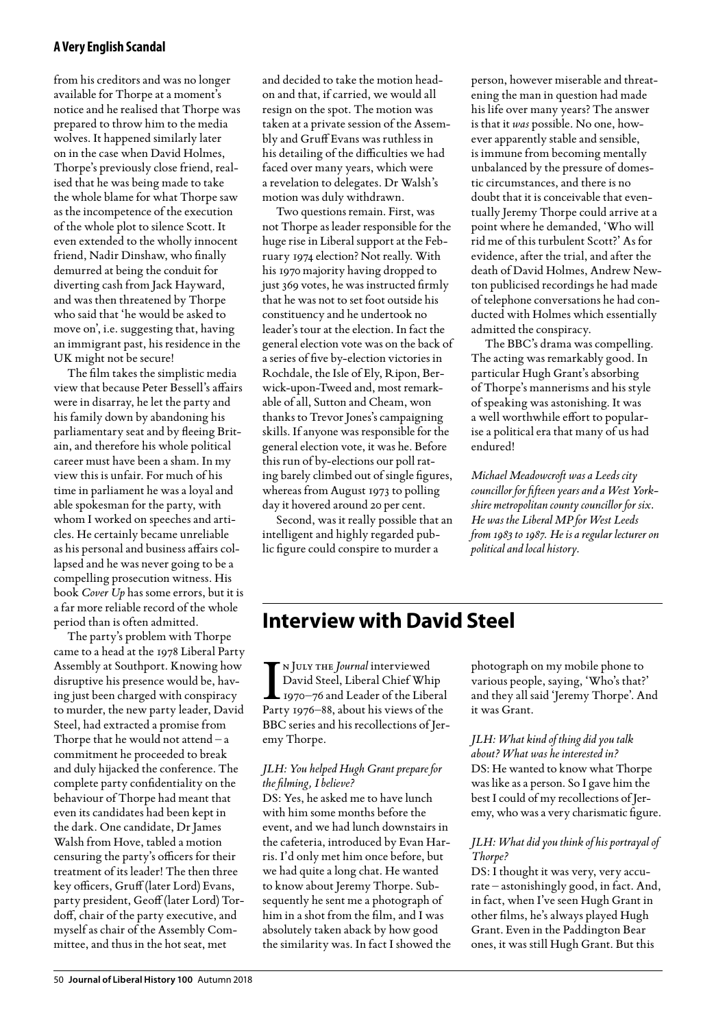# **A Very English Scandal**

from his creditors and was no longer available for Thorpe at a moment's notice and he realised that Thorpe was prepared to throw him to the media wolves. It happened similarly later on in the case when David Holmes, Thorpe's previously close friend, realised that he was being made to take the whole blame for what Thorpe saw as the incompetence of the execution of the whole plot to silence Scott. It even extended to the wholly innocent friend, Nadir Dinshaw, who finally demurred at being the conduit for diverting cash from Jack Hayward, and was then threatened by Thorpe who said that 'he would be asked to move on', i.e. suggesting that, having an immigrant past, his residence in the UK might not be secure!

The film takes the simplistic media view that because Peter Bessell's affairs were in disarray, he let the party and his family down by abandoning his parliamentary seat and by fleeing Britain, and therefore his whole political career must have been a sham. In my view this is unfair. For much of his time in parliament he was a loyal and able spokesman for the party, with whom I worked on speeches and articles. He certainly became unreliable as his personal and business affairs collapsed and he was never going to be a compelling prosecution witness. His book *Cover Up* has some errors, but it is a far more reliable record of the whole period than is often admitted.

The party's problem with Thorpe came to a head at the 1978 Liberal Party Assembly at Southport. Knowing how disruptive his presence would be, having just been charged with conspiracy to murder, the new party leader, David Steel, had extracted a promise from Thorpe that he would not attend  $-a$ commitment he proceeded to break and duly hijacked the conference. The complete party confidentiality on the behaviour of Thorpe had meant that even its candidates had been kept in the dark. One candidate, Dr James Walsh from Hove, tabled a motion censuring the party's officers for their treatment of its leader! The then three key officers, Gruff (later Lord) Evans, party president, Geoff (later Lord) Tordoff, chair of the party executive, and myself as chair of the Assembly Committee, and thus in the hot seat, met

and decided to take the motion headon and that, if carried, we would all resign on the spot. The motion was taken at a private session of the Assembly and Gruff Evans was ruthless in his detailing of the difficulties we had faced over many years, which were a revelation to delegates. Dr Walsh's motion was duly withdrawn.

Two questions remain. First, was not Thorpe as leader responsible for the huge rise in Liberal support at the February 1974 election? Not really. With his 1970 majority having dropped to just 369 votes, he was instructed firmly that he was not to set foot outside his constituency and he undertook no leader's tour at the election. In fact the general election vote was on the back of a series of five by-election victories in Rochdale, the Isle of Ely, Ripon, Berwick-upon-Tweed and, most remarkable of all, Sutton and Cheam, won thanks to Trevor Jones's campaigning skills. If anyone was responsible for the general election vote, it was he. Before this run of by-elections our poll rating barely climbed out of single figures, whereas from August 1973 to polling day it hovered around 20 per cent.

Second, was it really possible that an intelligent and highly regarded public figure could conspire to murder a

person, however miserable and threatening the man in question had made his life over many years? The answer is that it *was* possible. No one, however apparently stable and sensible, is immune from becoming mentally unbalanced by the pressure of domestic circumstances, and there is no doubt that it is conceivable that eventually Jeremy Thorpe could arrive at a point where he demanded, 'Who will rid me of this turbulent Scott?' As for evidence, after the trial, and after the death of David Holmes, Andrew Newton publicised recordings he had made of telephone conversations he had conducted with Holmes which essentially admitted the conspiracy.

The BBC's drama was compelling. The acting was remarkably good. In particular Hugh Grant's absorbing of Thorpe's mannerisms and his style of speaking was astonishing. It was a well worthwhile effort to popularise a political era that many of us had endured!

*Michael Meadowcroft was a Leeds city councillor for fifteen years and a West Yorkshire metropolitan county councillor for six. He was the Liberal MP for West Leeds from 1983 to 1987. He is a regular lecturer on political and local history.*

# **Interview with David Steel**

 $\prod_{P_{211}}$ n July the *Journal* interviewed David Steel, Liberal Chief Whip 1970–76 and Leader of the Liberal Party 1976–88, about his views of the BBC series and his recollections of Jeremy Thorpe.

### *JLH: You helped Hugh Grant prepare for the filming, I believe?*

DS: Yes, he asked me to have lunch with him some months before the event, and we had lunch downstairs in the cafeteria, introduced by Evan Harris. I'd only met him once before, but we had quite a long chat. He wanted to know about Jeremy Thorpe. Subsequently he sent me a photograph of him in a shot from the film, and I was absolutely taken aback by how good the similarity was. In fact I showed the

photograph on my mobile phone to various people, saying, 'Who's that?' and they all said 'Jeremy Thorpe'. And it was Grant.

*JLH: What kind of thing did you talk about? What was he interested in?* DS: He wanted to know what Thorpe was like as a person. So I gave him the best I could of my recollections of Jeremy, who was a very charismatic figure.

# *JLH: What did you think of his portrayal of Thorpe?*

DS: I thought it was very, very accurate – astonishingly good, in fact. And, in fact, when I've seen Hugh Grant in other films, he's always played Hugh Grant. Even in the Paddington Bear ones, it was still Hugh Grant. But this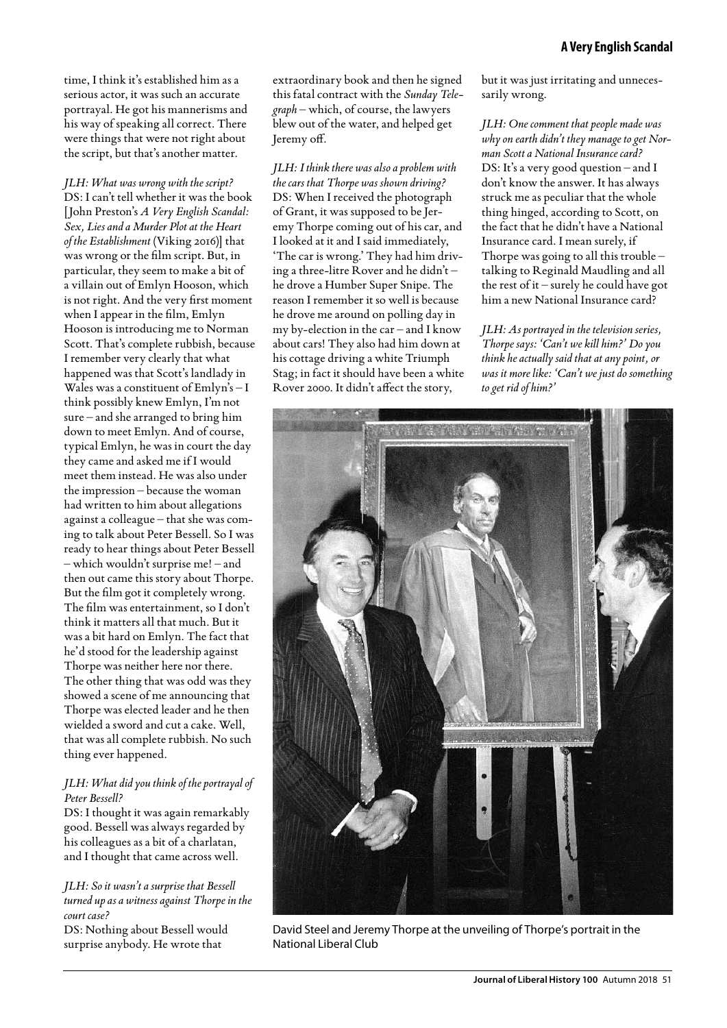*JLH: What was wrong with the script?* DS: I can't tell whether it was the book [John Preston's *A Very English Scandal: Sex, Lies and a Murder Plot at the Heart of the Establishment* (Viking 2016)] that was wrong or the film script. But, in particular, they seem to make a bit of a villain out of Emlyn Hooson, which is not right. And the very first moment when I appear in the film, Emlyn Hooson is introducing me to Norman Scott. That's complete rubbish, because I remember very clearly that what happened was that Scott's landlady in Wales was a constituent of Emlyn's – I think possibly knew Emlyn, I'm not sure – and she arranged to bring him down to meet Emlyn. And of course, typical Emlyn, he was in court the day they came and asked me if I would meet them instead. He was also under the impression – because the woman had written to him about allegations against a colleague – that she was coming to talk about Peter Bessell. So I was ready to hear things about Peter Bessell – which wouldn't surprise me! – and then out came this story about Thorpe. But the film got it completely wrong. The film was entertainment, so I don't think it matters all that much. But it was a bit hard on Emlyn. The fact that he'd stood for the leadership against Thorpe was neither here nor there. The other thing that was odd was they showed a scene of me announcing that Thorpe was elected leader and he then wielded a sword and cut a cake. Well, that was all complete rubbish. No such thing ever happened.

### *JLH: What did you think of the portrayal of Peter Bessell?*

DS: I thought it was again remarkably good. Bessell was always regarded by his colleagues as a bit of a charlatan, and I thought that came across well.

### *JLH: So it wasn't a surprise that Bessell turned up as a witness against Thorpe in the court case?*

DS: Nothing about Bessell would surprise anybody. He wrote that

extraordinary book and then he signed this fatal contract with the *Sunday Telegraph* – which, of course, the lawyers blew out of the water, and helped get Jeremy off.

*JLH: I think there was also a problem with the cars that Thorpe was shown driving?* DS: When I received the photograph of Grant, it was supposed to be Jeremy Thorpe coming out of his car, and I looked at it and I said immediately, 'The car is wrong.' They had him driving a three-litre Rover and he didn't – he drove a Humber Super Snipe. The reason I remember it so well is because he drove me around on polling day in my by-election in the car – and I know about cars! They also had him down at his cottage driving a white Triumph Stag; in fact it should have been a white Rover 2000. It didn't affect the story,

but it was just irritating and unnecessarily wrong.

*JLH: One comment that people made was why on earth didn't they manage to get Norman Scott a National Insurance card?* DS: It's a very good question – and I don't know the answer. It has always struck me as peculiar that the whole thing hinged, according to Scott, on the fact that he didn't have a National Insurance card. I mean surely, if Thorpe was going to all this trouble – talking to Reginald Maudling and all the rest of it – surely he could have got him a new National Insurance card?

*JLH: As portrayed in the television series, Thorpe says: 'Can't we kill him?' Do you think he actually said that at any point, or was it more like: 'Can't we just do something to get rid of him?'*



David Steel and Jeremy Thorpe at the unveiling of Thorpe's portrait in the National Liberal Club